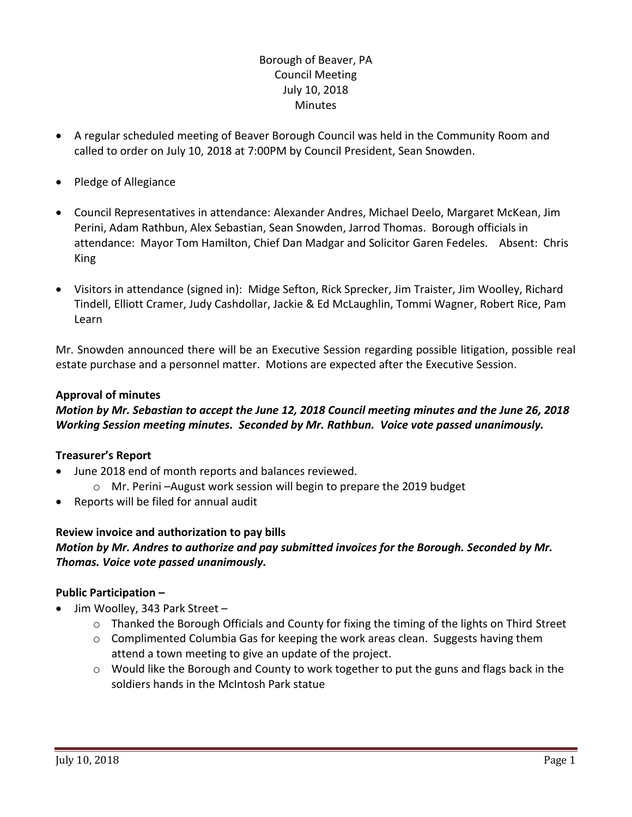# Borough of Beaver, PA Council Meeting July 10, 2018 **Minutes**

- A regular scheduled meeting of Beaver Borough Council was held in the Community Room and called to order on July 10, 2018 at 7:00PM by Council President, Sean Snowden.
- Pledge of Allegiance
- Council Representatives in attendance: Alexander Andres, Michael Deelo, Margaret McKean, Jim Perini, Adam Rathbun, Alex Sebastian, Sean Snowden, Jarrod Thomas. Borough officials in attendance: Mayor Tom Hamilton, Chief Dan Madgar and Solicitor Garen Fedeles. Absent: Chris King
- Visitors in attendance (signed in): Midge Sefton, Rick Sprecker, Jim Traister, Jim Woolley, Richard Tindell, Elliott Cramer, Judy Cashdollar, Jackie & Ed McLaughlin, Tommi Wagner, Robert Rice, Pam Learn

Mr. Snowden announced there will be an Executive Session regarding possible litigation, possible real estate purchase and a personnel matter. Motions are expected after the Executive Session.

### **Approval of minutes**

# *Motion by Mr. Sebastian to accept the June 12, 2018 Council meeting minutes and the June 26, 2018 Working Session meeting minutes. Seconded by Mr. Rathbun. Voice vote passed unanimously.*

#### **Treasurer's Report**

- June 2018 end of month reports and balances reviewed.
	- o Mr. Perini –August work session will begin to prepare the 2019 budget
- Reports will be filed for annual audit

#### **Review invoice and authorization to pay bills**

### *Motion by Mr. Andres to authorize and pay submitted invoices for the Borough. Seconded by Mr. Thomas. Voice vote passed unanimously.*

#### **Public Participation –**

- Jim Woolley, 343 Park Street
	- $\circ$  Thanked the Borough Officials and County for fixing the timing of the lights on Third Street
	- $\circ$  Complimented Columbia Gas for keeping the work areas clean. Suggests having them attend a town meeting to give an update of the project.
	- o Would like the Borough and County to work together to put the guns and flags back in the soldiers hands in the McIntosh Park statue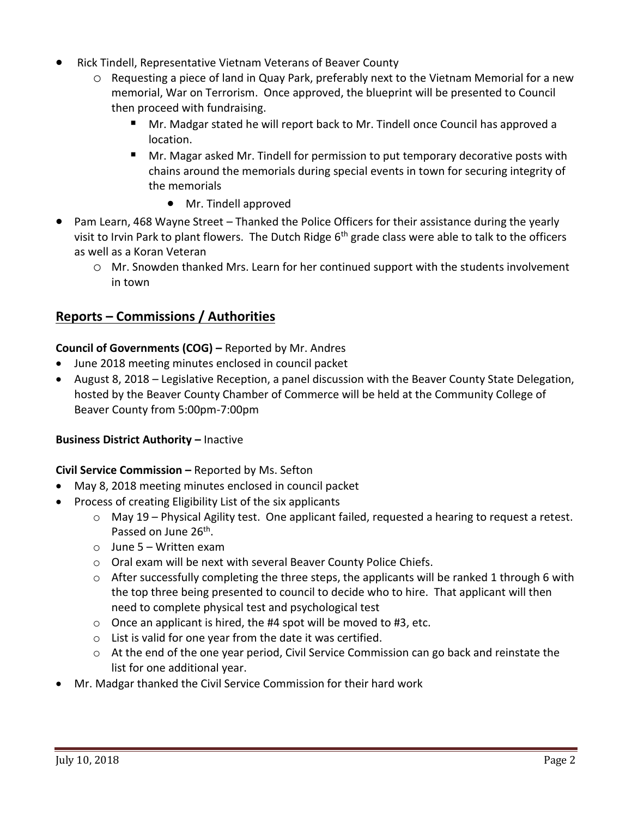- Rick Tindell, Representative Vietnam Veterans of Beaver County
	- o Requesting a piece of land in Quay Park, preferably next to the Vietnam Memorial for a new memorial, War on Terrorism. Once approved, the blueprint will be presented to Council then proceed with fundraising.
		- Mr. Madgar stated he will report back to Mr. Tindell once Council has approved a location.
		- Mr. Magar asked Mr. Tindell for permission to put temporary decorative posts with chains around the memorials during special events in town for securing integrity of the memorials
			- Mr. Tindell approved
- Pam Learn, 468 Wayne Street Thanked the Police Officers for their assistance during the yearly visit to Irvin Park to plant flowers. The Dutch Ridge 6<sup>th</sup> grade class were able to talk to the officers as well as a Koran Veteran
	- o Mr. Snowden thanked Mrs. Learn for her continued support with the students involvement in town

# **Reports – Commissions / Authorities**

# **Council of Governments (COG) –** Reported by Mr. Andres

- June 2018 meeting minutes enclosed in council packet
- August 8, 2018 Legislative Reception, a panel discussion with the Beaver County State Delegation, hosted by the Beaver County Chamber of Commerce will be held at the Community College of Beaver County from 5:00pm-7:00pm

### **Business District Authority –** Inactive

#### **Civil Service Commission –** Reported by Ms. Sefton

- May 8, 2018 meeting minutes enclosed in council packet
- Process of creating Eligibility List of the six applicants
	- $\circ$  May 19 Physical Agility test. One applicant failed, requested a hearing to request a retest. Passed on June 26<sup>th</sup>.
	- $\circ$  June 5 Written exam
	- o Oral exam will be next with several Beaver County Police Chiefs.
	- $\circ$  After successfully completing the three steps, the applicants will be ranked 1 through 6 with the top three being presented to council to decide who to hire. That applicant will then need to complete physical test and psychological test
	- $\circ$  Once an applicant is hired, the #4 spot will be moved to #3, etc.
	- o List is valid for one year from the date it was certified.
	- $\circ$  At the end of the one year period, Civil Service Commission can go back and reinstate the list for one additional year.
- Mr. Madgar thanked the Civil Service Commission for their hard work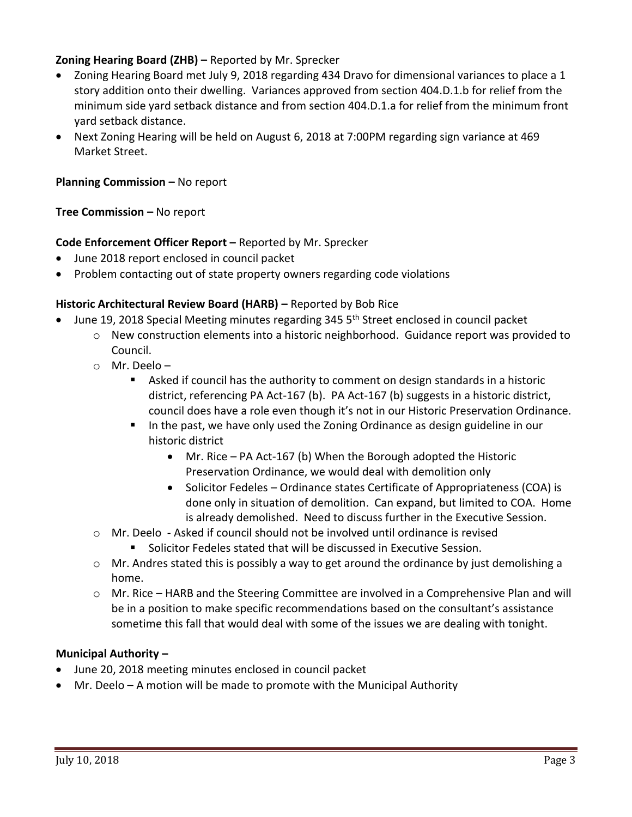# **Zoning Hearing Board (ZHB) –** Reported by Mr. Sprecker

- Zoning Hearing Board met July 9, 2018 regarding 434 Dravo for dimensional variances to place a 1 story addition onto their dwelling. Variances approved from section 404.D.1.b for relief from the minimum side yard setback distance and from section 404.D.1.a for relief from the minimum front yard setback distance.
- Next Zoning Hearing will be held on August 6, 2018 at 7:00PM regarding sign variance at 469 Market Street.

### **Planning Commission –** No report

### **Tree Commission –** No report

### **Code Enforcement Officer Report –** Reported by Mr. Sprecker

- June 2018 report enclosed in council packet
- Problem contacting out of state property owners regarding code violations

#### **Historic Architectural Review Board (HARB) - Reported by Bob Rice**

- June 19, 2018 Special Meeting minutes regarding 345 5<sup>th</sup> Street enclosed in council packet
	- o New construction elements into a historic neighborhood. Guidance report was provided to Council.
	- o Mr. Deelo
		- Asked if council has the authority to comment on design standards in a historic district, referencing PA Act-167 (b). PA Act-167 (b) suggests in a historic district, council does have a role even though it's not in our Historic Preservation Ordinance.
		- In the past, we have only used the Zoning Ordinance as design guideline in our historic district
			- Mr. Rice PA Act-167 (b) When the Borough adopted the Historic Preservation Ordinance, we would deal with demolition only
			- Solicitor Fedeles Ordinance states Certificate of Appropriateness (COA) is done only in situation of demolition. Can expand, but limited to COA. Home is already demolished. Need to discuss further in the Executive Session.
	- o Mr. Deelo Asked if council should not be involved until ordinance is revised
		- **Solicitor Fedeles stated that will be discussed in Executive Session.**
	- $\circ$  Mr. Andres stated this is possibly a way to get around the ordinance by just demolishing a home.
	- o Mr. Rice HARB and the Steering Committee are involved in a Comprehensive Plan and will be in a position to make specific recommendations based on the consultant's assistance sometime this fall that would deal with some of the issues we are dealing with tonight.

#### **Municipal Authority –**

- June 20, 2018 meeting minutes enclosed in council packet
- Mr. Deelo A motion will be made to promote with the Municipal Authority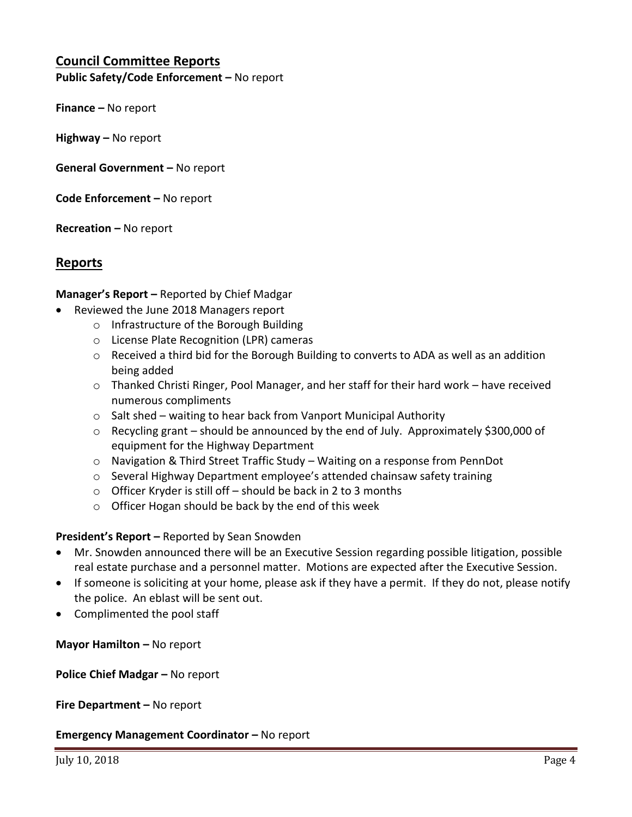# **Council Committee Reports**

**Public Safety/Code Enforcement –** No report

**Finance –** No report

**Highway –** No report

**General Government –** No report

**Code Enforcement –** No report

**Recreation –** No report

### **Reports**

**Manager's Report –** Reported by Chief Madgar

- Reviewed the June 2018 Managers report
	- o Infrastructure of the Borough Building
	- o License Plate Recognition (LPR) cameras
	- o Received a third bid for the Borough Building to converts to ADA as well as an addition being added
	- o Thanked Christi Ringer, Pool Manager, and her staff for their hard work have received numerous compliments
	- o Salt shed waiting to hear back from Vanport Municipal Authority
	- o Recycling grant should be announced by the end of July. Approximately \$300,000 of equipment for the Highway Department
	- $\circ$  Navigation & Third Street Traffic Study Waiting on a response from PennDot
	- o Several Highway Department employee's attended chainsaw safety training
	- $\circ$  Officer Kryder is still off should be back in 2 to 3 months
	- o Officer Hogan should be back by the end of this week

**President's Report –** Reported by Sean Snowden

- Mr. Snowden announced there will be an Executive Session regarding possible litigation, possible real estate purchase and a personnel matter. Motions are expected after the Executive Session.
- If someone is soliciting at your home, please ask if they have a permit. If they do not, please notify the police. An eblast will be sent out.
- Complimented the pool staff

**Mayor Hamilton – No report** 

**Police Chief Madgar –** No report

**Fire Department –** No report

**Emergency Management Coordinator - No report**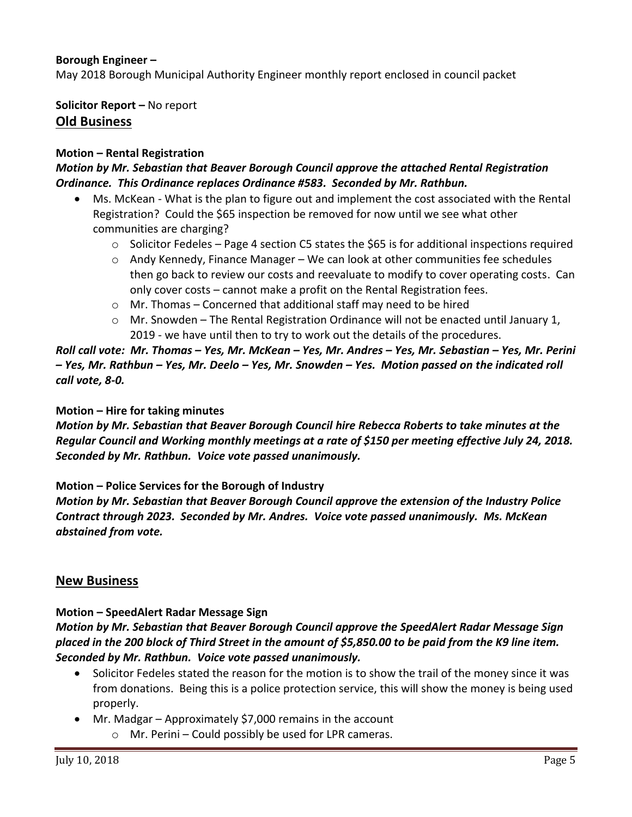### **Borough Engineer –**

May 2018 Borough Municipal Authority Engineer monthly report enclosed in council packet

**Solicitor Report –** No report **Old Business**

#### **Motion – Rental Registration**

### *Motion by Mr. Sebastian that Beaver Borough Council approve the attached Rental Registration Ordinance. This Ordinance replaces Ordinance #583. Seconded by Mr. Rathbun.*

- Ms. McKean What is the plan to figure out and implement the cost associated with the Rental Registration? Could the \$65 inspection be removed for now until we see what other communities are charging?
	- $\circ$  Solicitor Fedeles Page 4 section C5 states the \$65 is for additional inspections required
	- $\circ$  Andy Kennedy, Finance Manager We can look at other communities fee schedules then go back to review our costs and reevaluate to modify to cover operating costs. Can only cover costs – cannot make a profit on the Rental Registration fees.
	- $\circ$  Mr. Thomas Concerned that additional staff may need to be hired
	- $\circ$  Mr. Snowden The Rental Registration Ordinance will not be enacted until January 1, 2019 - we have until then to try to work out the details of the procedures.

*Roll call vote: Mr. Thomas – Yes, Mr. McKean – Yes, Mr. Andres – Yes, Mr. Sebastian – Yes, Mr. Perini – Yes, Mr. Rathbun – Yes, Mr. Deelo – Yes, Mr. Snowden – Yes. Motion passed on the indicated roll call vote, 8-0.*

#### **Motion – Hire for taking minutes**

*Motion by Mr. Sebastian that Beaver Borough Council hire Rebecca Roberts to take minutes at the Regular Council and Working monthly meetings at a rate of \$150 per meeting effective July 24, 2018. Seconded by Mr. Rathbun. Voice vote passed unanimously.*

#### **Motion – Police Services for the Borough of Industry**

*Motion by Mr. Sebastian that Beaver Borough Council approve the extension of the Industry Police Contract through 2023. Seconded by Mr. Andres. Voice vote passed unanimously. Ms. McKean abstained from vote.*

#### **New Business**

# **Motion – SpeedAlert Radar Message Sign**

# *Motion by Mr. Sebastian that Beaver Borough Council approve the SpeedAlert Radar Message Sign placed in the 200 block of Third Street in the amount of \$5,850.00 to be paid from the K9 line item. Seconded by Mr. Rathbun. Voice vote passed unanimously.*

- Solicitor Fedeles stated the reason for the motion is to show the trail of the money since it was from donations. Being this is a police protection service, this will show the money is being used properly.
- Mr. Madgar Approximately \$7,000 remains in the account
	- o Mr. Perini Could possibly be used for LPR cameras.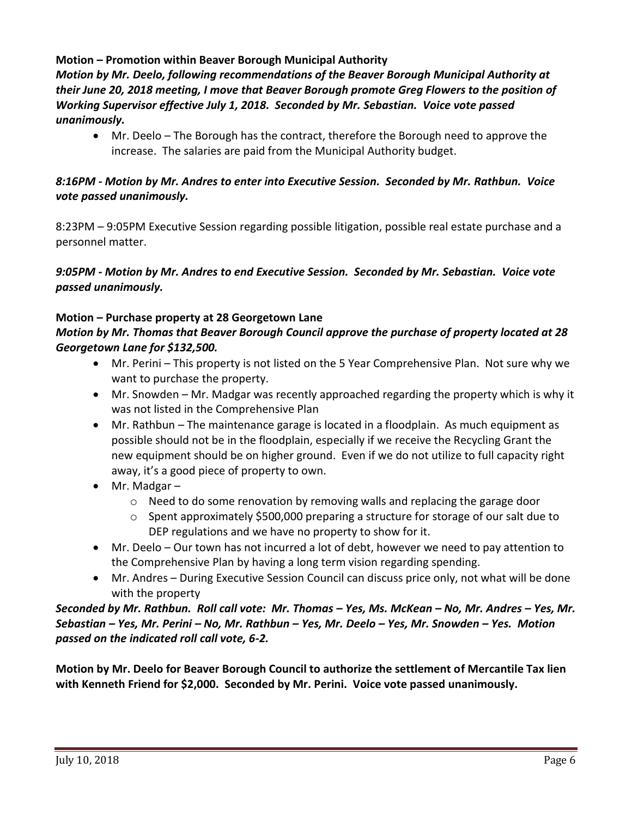# **Motion – Promotion within Beaver Borough Municipal Authority** *Motion by Mr. Deelo, following recommendations of the Beaver Borough Municipal Authority at their June 20, 2018 meeting, I move that Beaver Borough promote Greg Flowers to the position of Working Supervisor effective July 1, 2018. Seconded by Mr. Sebastian. Voice vote passed unanimously.*

 Mr. Deelo – The Borough has the contract, therefore the Borough need to approve the increase. The salaries are paid from the Municipal Authority budget.

# *8:16PM - Motion by Mr. Andres to enter into Executive Session. Seconded by Mr. Rathbun. Voice vote passed unanimously.*

8:23PM – 9:05PM Executive Session regarding possible litigation, possible real estate purchase and a personnel matter.

### *9:05PM - Motion by Mr. Andres to end Executive Session. Seconded by Mr. Sebastian. Voice vote passed unanimously.*

# **Motion – Purchase property at 28 Georgetown Lane**

# *Motion by Mr. Thomas that Beaver Borough Council approve the purchase of property located at 28 Georgetown Lane for \$132,500.*

- Mr. Perini This property is not listed on the 5 Year Comprehensive Plan. Not sure why we want to purchase the property.
- Mr. Snowden Mr. Madgar was recently approached regarding the property which is why it was not listed in the Comprehensive Plan
- Mr. Rathbun The maintenance garage is located in a floodplain. As much equipment as possible should not be in the floodplain, especially if we receive the Recycling Grant the new equipment should be on higher ground. Even if we do not utilize to full capacity right away, it's a good piece of property to own.
- Mr. Madgar
	- $\circ$  Need to do some renovation by removing walls and replacing the garage door
	- $\circ$  Spent approximately \$500,000 preparing a structure for storage of our salt due to DEP regulations and we have no property to show for it.
- Mr. Deelo Our town has not incurred a lot of debt, however we need to pay attention to the Comprehensive Plan by having a long term vision regarding spending.
- Mr. Andres During Executive Session Council can discuss price only, not what will be done with the property

# *Seconded by Mr. Rathbun. Roll call vote: Mr. Thomas – Yes, Ms. McKean – No, Mr. Andres – Yes, Mr. Sebastian – Yes, Mr. Perini – No, Mr. Rathbun – Yes, Mr. Deelo – Yes, Mr. Snowden – Yes. Motion passed on the indicated roll call vote, 6-2.*

**Motion by Mr. Deelo for Beaver Borough Council to authorize the settlement of Mercantile Tax lien with Kenneth Friend for \$2,000. Seconded by Mr. Perini. Voice vote passed unanimously.**